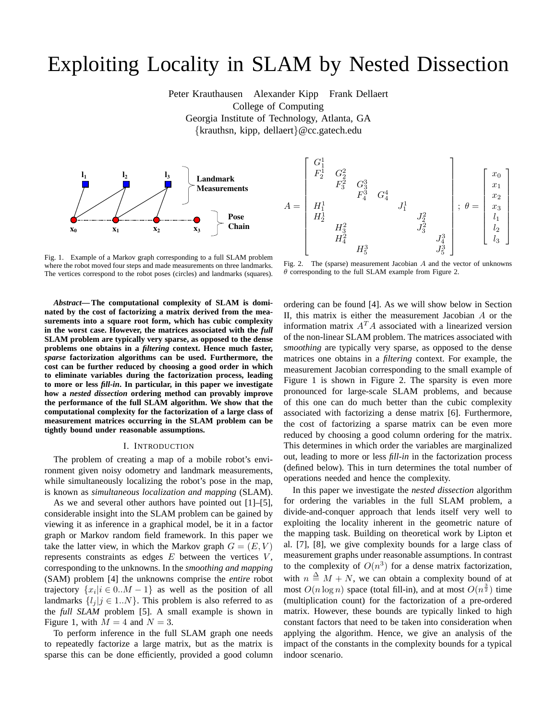# Exploiting Locality in SLAM by Nested Dissection

Peter Krauthausen Alexander Kipp Frank Dellaert College of Computing Georgia Institute of Technology, Atlanta, GA {krauthsn, kipp, dellaert}@cc.gatech.edu





Fig. 1. Example of a Markov graph corresponding to a full SLAM problem where the robot moved four steps and made measurements on three landmarks. The vertices correspond to the robot poses (circles) and landmarks (squares).

*Abstract***— The computational complexity of SLAM is dominated by the cost of factorizing a matrix derived from the measurements into a square root form, which has cubic complexity in the worst case. However, the matrices associated with the** *full* **SLAM problem are typically very sparse, as opposed to the dense problems one obtains in a** *filtering* **context. Hence much faster,** *sparse* **factorization algorithms can be used. Furthermore, the cost can be further reduced by choosing a good order in which to eliminate variables during the factorization process, leading to more or less** *fill-in***. In particular, in this paper we investigate how a** *nested dissection* **ordering method can provably improve the performance of the full SLAM algorithm. We show that the computational complexity for the factorization of a large class of measurement matrices occurring in the SLAM problem can be tightly bound under reasonable assumptions.**

#### I. INTRODUCTION

The problem of creating a map of a mobile robot's environment given noisy odometry and landmark measurements, while simultaneously localizing the robot's pose in the map, is known as *simultaneous localization and mapping* (SLAM).

As we and several other authors have pointed out [1]–[5], considerable insight into the SLAM problem can be gained by viewing it as inference in a graphical model, be it in a factor graph or Markov random field framework. In this paper we take the latter view, in which the Markov graph  $G = (E, V)$ represents constraints as edges  $E$  between the vertices  $V$ , corresponding to the unknowns. In the *smoothing and mapping* (SAM) problem [4] the unknowns comprise the *entire* robot trajectory  $\{x_i | i \in 0..M-1\}$  as well as the position of all landmarks  $\{l_i | j \in 1..N\}$ . This problem is also referred to as the *full SLAM* problem [5]. A small example is shown in Figure 1, with  $M = 4$  and  $N = 3$ .

To perform inference in the full SLAM graph one needs to repeatedly factorize a large matrix, but as the matrix is sparse this can be done efficiently, provided a good column

Fig. 2. The (sparse) measurement Jacobian  $A$  and the vector of unknowns  $\theta$  corresponding to the full SLAM example from Figure 2.

ordering can be found [4]. As we will show below in Section II, this matrix is either the measurement Jacobian A or the information matrix  $A<sup>T</sup>A$  associated with a linearized version of the non-linear SLAM problem. The matrices associated with *smoothing* are typically very sparse, as opposed to the dense matrices one obtains in a *filtering* context. For example, the measurement Jacobian corresponding to the small example of Figure 1 is shown in Figure 2. The sparsity is even more pronounced for large-scale SLAM problems, and because of this one can do much better than the cubic complexity associated with factorizing a dense matrix [6]. Furthermore, the cost of factorizing a sparse matrix can be even more reduced by choosing a good column ordering for the matrix. This determines in which order the variables are marginalized out, leading to more or less *fill-in* in the factorization process (defined below). This in turn determines the total number of operations needed and hence the complexity.

In this paper we investigate the *nested dissection* algorithm for ordering the variables in the full SLAM problem, a divide-and-conquer approach that lends itself very well to exploiting the locality inherent in the geometric nature of the mapping task. Building on theoretical work by Lipton et al. [7], [8], we give complexity bounds for a large class of measurement graphs under reasonable assumptions. In contrast to the complexity of  $O(n^3)$  for a dense matrix factorization, with  $n \triangleq M + N$ , we can obtain a complexity bound of at most  $O(n \log n)$  space (total fill-in), and at most  $O(n^{\frac{3}{2}})$  time (multiplication count) for the factorization of a pre-ordered matrix. However, these bounds are typically linked to high constant factors that need to be taken into consideration when applying the algorithm. Hence, we give an analysis of the impact of the constants in the complexity bounds for a typical indoor scenario.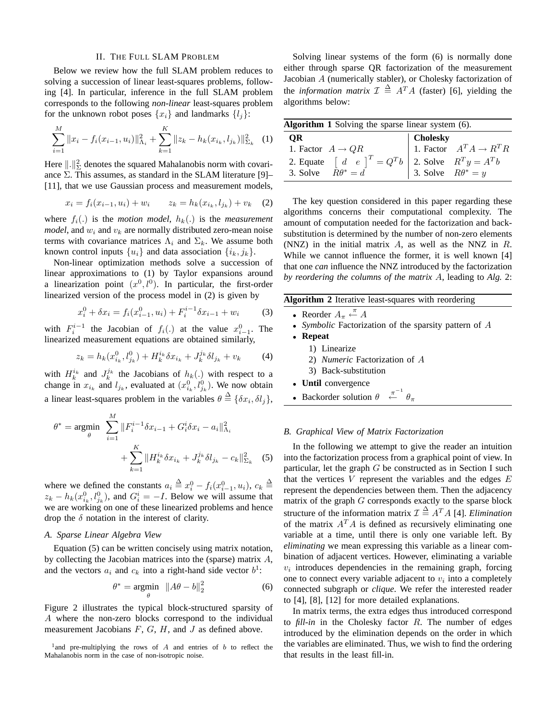#### II. THE FULL SLAM PROBLEM

Below we review how the full SLAM problem reduces to solving a succession of linear least-squares problems, following [4]. In particular, inference in the full SLAM problem corresponds to the following *non-linear* least-squares problem for the unknown robot poses  $\{x_i\}$  and landmarks  $\{l_i\}$ :

$$
\sum_{i=1}^{M} ||x_i - f_i(x_{i-1}, u_i)||_{\Lambda_i}^2 + \sum_{k=1}^{K} ||z_k - h_k(x_{i_k}, l_{j_k})||_{\Sigma_k}^2 \tag{1}
$$

Here  $\|\cdot\|_{\Sigma}^2$  denotes the squared Mahalanobis norm with covariance  $\Sigma$ . This assumes, as standard in the SLAM literature [9]– [11], that we use Gaussian process and measurement models,

$$
x_i = f_i(x_{i-1}, u_i) + w_i \qquad z_k = h_k(x_{i_k}, l_{j_k}) + v_k \quad (2)
$$

where  $f_i(.)$  is the *motion model*,  $h_k(.)$  is the *measurement model*, and  $w_i$  and  $v_k$  are normally distributed zero-mean noise terms with covariance matrices  $\Lambda_i$  and  $\Sigma_k$ . We assume both known control inputs  $\{u_i\}$  and data association  $\{i_k, j_k\}$ .

Non-linear optimization methods solve a succession of linear approximations to (1) by Taylor expansions around a linearization point  $(x^0, l^0)$ . In particular, the first-order linearized version of the process model in (2) is given by

$$
x_i^0 + \delta x_i = f_i(x_{i-1}^0, u_i) + F_i^{i-1} \delta x_{i-1} + w_i \tag{3}
$$

with  $F_i^{i-1}$  the Jacobian of  $f_i(.)$  at the value  $x_{i-1}^0$ . The linearized measurement equations are obtained similarly,

$$
z_k = h_k(x_{i_k}^0, l_{j_k}^0) + H_k^{i_k} \delta x_{i_k} + J_k^{j_k} \delta l_{j_k} + v_k \tag{4}
$$

with  $H_k^{i_k}$  and  $J_k^{j_k}$  the Jacobians of  $h_k(.)$  with respect to a change in  $x_{i_k}$  and  $l_{j_k}$ , evaluated at  $(x_{i_k}^0, l_{j_k}^0)$ . We now obtain a linear least-squares problem in the variables  $\theta \triangleq \{\delta x_i, \delta l_j\},\$ 

$$
\theta^* = \underset{\theta}{\text{argmin}} \sum_{i=1}^M \|F_i^{i-1} \delta x_{i-1} + G_i^i \delta x_i - a_i\|_{\Lambda_i}^2 + \sum_{k=1}^K \|H_k^{i_k} \delta x_{i_k} + J_k^{j_k} \delta l_{j_k} - c_k\|_{\Sigma_k}^2 \tag{5}
$$

where we defined the constants  $a_i \stackrel{\Delta}{=} x_i^0 - f_i(x_{i-1}^0, u_i)$ ,  $c_k \stackrel{\Delta}{=}$  $z_k - h_k(x_{i_k}^0, l_{j_k}^0)$ , and  $G_i^i = -I$ . Below we will assume that we are working on one of these linearized problems and hence drop the  $\delta$  notation in the interest of clarity.

# *A. Sparse Linear Algebra View*

Equation (5) can be written concisely using matrix notation, by collecting the Jacobian matrices into the (sparse) matrix  $A$ , and the vectors  $a_i$  and  $c_k$  into a right-hand side vector  $b^1$ :

$$
\theta^* = \underset{\theta}{\text{argmin}} \ \ \|A\theta - b\|_2^2 \tag{6}
$$

Figure 2 illustrates the typical block-structured sparsity of A where the non-zero blocks correspond to the individual measurement Jacobians  $F, G, H$ , and  $J$  as defined above.

Solving linear systems of the form (6) is normally done either through sparse QR factorization of the measurement Jacobian A (numerically stabler), or Cholesky factorization of the *information matrix*  $\mathcal{I} \triangleq A^T A$  (faster) [6], yielding the algorithms below:

| <b>Algorithm 1</b> Solving the sparse linear system (6).                                                                                          |          |                                     |  |  |  |  |  |
|---------------------------------------------------------------------------------------------------------------------------------------------------|----------|-------------------------------------|--|--|--|--|--|
| <b>OR</b>                                                                                                                                         | Cholesky |                                     |  |  |  |  |  |
| 1. Factor $A \rightarrow QR$                                                                                                                      |          | 1. Factor $A^T A \rightarrow R^T R$ |  |  |  |  |  |
| 2. Equate $\begin{bmatrix} d & e \ 0 & R^T \end{bmatrix}^T = Q^T b$ 2. Solve $R^T y = A^T b$<br>3. Solve $R\theta^* = d$ 3. Solve $R\theta^* = y$ |          |                                     |  |  |  |  |  |
|                                                                                                                                                   |          |                                     |  |  |  |  |  |

The key question considered in this paper regarding these algorithms concerns their computational complexity. The amount of computation needed for the factorization and backsubstitution is determined by the number of non-zero elements (NNZ) in the initial matrix  $A$ , as well as the NNZ in  $R$ . While we cannot influence the former, it is well known [4] that one *can* influence the NNZ introduced by the factorization *by reordering the columns of the matrix* A, leading to *Alg.* 2:

**Algorithm 2** Iterative least-squares with reordering

- Reorder  $A_{\pi} \stackrel{\pi}{\leftarrow} A$
- Symbolic Factorization of the sparsity pattern of A
- **Repeat**
	- 1) Linearize
	- 2) *Numeric* Factorization of A
	- 3) Back-substitution
- **Until** convergence
- Backorder solution  $\theta$  $\stackrel{\pi^{-1}}{\leftarrow} \theta_{\pi}$

#### *B. Graphical View of Matrix Factorization*

In the following we attempt to give the reader an intuition into the factorization process from a graphical point of view. In particular, let the graph  $G$  be constructed as in Section I such that the vertices  $V$  represent the variables and the edges  $E$ represent the dependencies between them. Then the adjacency matrix of the graph G corresponds exactly to the sparse block structure of the information matrix  $\mathcal{I} \triangleq A^T A$  [4]. *Elimination* of the matrix  $A<sup>T</sup>A$  is defined as recursively eliminating one variable at a time, until there is only one variable left. By *eliminating* we mean expressing this variable as a linear combination of adjacent vertices. However, eliminating a variable  $v_i$  introduces dependencies in the remaining graph, forcing one to connect every variable adjacent to  $v_i$  into a completely connected subgraph or *clique*. We refer the interested reader to [4], [8], [12] for more detailed explanations.

In matrix terms, the extra edges thus introduced correspond to *fill-in* in the Cholesky factor R. The number of edges introduced by the elimination depends on the order in which the variables are eliminated. Thus, we wish to find the ordering that results in the least fill-in.

<sup>&</sup>lt;sup>1</sup> and pre-multiplying the rows of  $A$  and entries of  $b$  to reflect the Mahalanobis norm in the case of non-isotropic noise.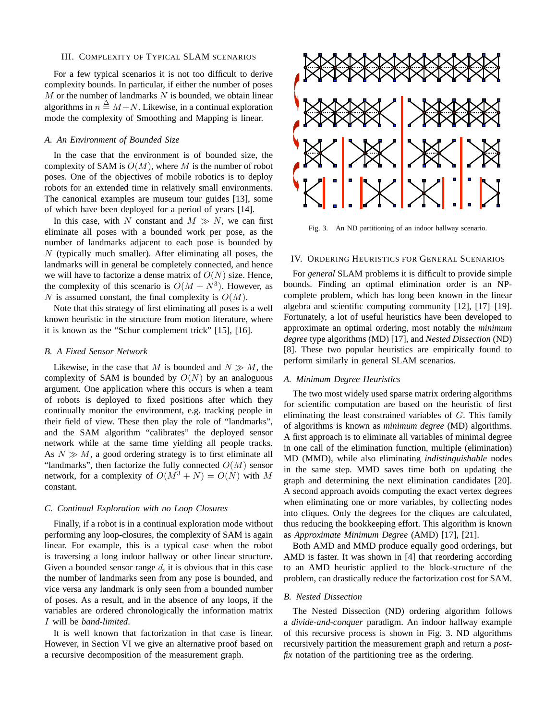#### III. COMPLEXITY OF TYPICAL SLAM SCENARIOS

For a few typical scenarios it is not too difficult to derive complexity bounds. In particular, if either the number of poses  $M$  or the number of landmarks  $N$  is bounded, we obtain linear algorithms in  $n \stackrel{\Delta}{=} M+N$ . Likewise, in a continual exploration mode the complexity of Smoothing and Mapping is linear.

# *A. An Environment of Bounded Size*

In the case that the environment is of bounded size, the complexity of SAM is  $O(M)$ , where M is the number of robot poses. One of the objectives of mobile robotics is to deploy robots for an extended time in relatively small environments. The canonical examples are museum tour guides [13], some of which have been deployed for a period of years [14].

In this case, with N constant and  $M \gg N$ , we can first eliminate all poses with a bounded work per pose, as the number of landmarks adjacent to each pose is bounded by  $N$  (typically much smaller). After eliminating all poses, the landmarks will in general be completely connected, and hence we will have to factorize a dense matrix of  $O(N)$  size. Hence, the complexity of this scenario is  $O(M + N^3)$ . However, as N is assumed constant, the final complexity is  $O(M)$ .

Note that this strategy of first eliminating all poses is a well known heuristic in the structure from motion literature, where it is known as the "Schur complement trick" [15], [16].

## *B. A Fixed Sensor Network*

Likewise, in the case that M is bounded and  $N \gg M$ , the complexity of SAM is bounded by  $O(N)$  by an analoguous argument. One application where this occurs is when a team of robots is deployed to fixed positions after which they continually monitor the environment, e.g. tracking people in their field of view. These then play the role of "landmarks", and the SAM algorithm "calibrates" the deployed sensor network while at the same time yielding all people tracks. As  $N \gg M$ , a good ordering strategy is to first eliminate all "landmarks", then factorize the fully connected  $O(M)$  sensor network, for a complexity of  $O(M^3 + N) = O(N)$  with M constant.

## *C. Continual Exploration with no Loop Closures*

Finally, if a robot is in a continual exploration mode without performing any loop-closures, the complexity of SAM is again linear. For example, this is a typical case when the robot is traversing a long indoor hallway or other linear structure. Given a bounded sensor range  $d$ , it is obvious that in this case the number of landmarks seen from any pose is bounded, and vice versa any landmark is only seen from a bounded number of poses. As a result, and in the absence of any loops, if the variables are ordered chronologically the information matrix I will be *band-limited*.

It is well known that factorization in that case is linear. However, in Section VI we give an alternative proof based on a recursive decomposition of the measurement graph.



Fig. 3. An ND partitioning of an indoor hallway scenario.

## IV. ORDERING HEURISTICS FOR GENERAL SCENARIOS

For *general* SLAM problems it is difficult to provide simple bounds. Finding an optimal elimination order is an NPcomplete problem, which has long been known in the linear algebra and scientific computing community [12], [17]–[19]. Fortunately, a lot of useful heuristics have been developed to approximate an optimal ordering, most notably the *minimum degree* type algorithms (MD) [17], and *Nested Dissection* (ND) [8]. These two popular heuristics are empirically found to perform similarly in general SLAM scenarios.

## *A. Minimum Degree Heuristics*

The two most widely used sparse matrix ordering algorithms for scientific computation are based on the heuristic of first eliminating the least constrained variables of  $G$ . This family of algorithms is known as *minimum degree* (MD) algorithms. A first approach is to eliminate all variables of minimal degree in one call of the elimination function, multiple (elimination) MD (MMD), while also eliminating *indistinguishable* nodes in the same step. MMD saves time both on updating the graph and determining the next elimination candidates [20]. A second approach avoids computing the exact vertex degrees when eliminating one or more variables, by collecting nodes into cliques. Only the degrees for the cliques are calculated, thus reducing the bookkeeping effort. This algorithm is known as *Approximate Minimum Degree* (AMD) [17], [21].

Both AMD and MMD produce equally good orderings, but AMD is faster. It was shown in [4] that reordering according to an AMD heuristic applied to the block-structure of the problem, can drastically reduce the factorization cost for SAM.

#### *B. Nested Dissection*

The Nested Dissection (ND) ordering algorithm follows a *divide-and-conquer* paradigm. An indoor hallway example of this recursive process is shown in Fig. 3. ND algorithms recursively partition the measurement graph and return a *postfix* notation of the partitioning tree as the ordering.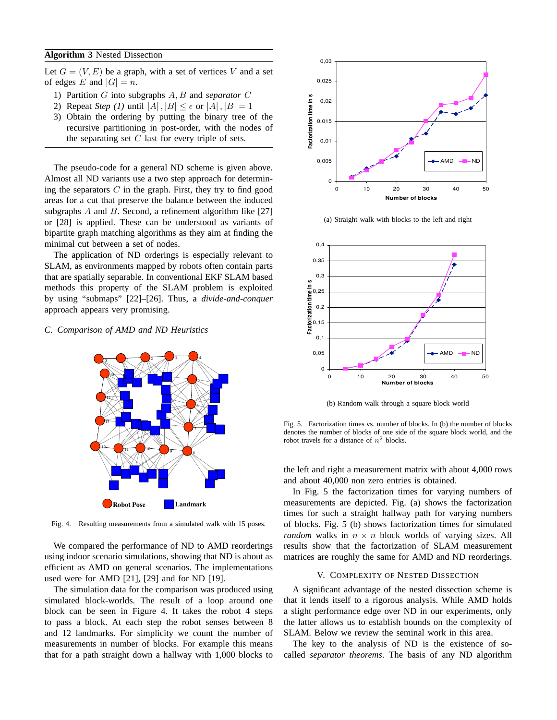# **Algorithm 3** Nested Dissection

Let  $G = (V, E)$  be a graph, with a set of vertices V and a set of edges E and  $|G| = n$ .

- 1) Partition G into subgraphs A, B and *separator* C
- 2) Repeat *Step* (1) until  $|A|, |B| \leq \epsilon$  or  $|A|, |B| = 1$
- 3) Obtain the ordering by putting the binary tree of the recursive partitioning in post-order, with the nodes of the separating set  $C$  last for every triple of sets.

The pseudo-code for a general ND scheme is given above. Almost all ND variants use a two step approach for determining the separators  $C$  in the graph. First, they try to find good areas for a cut that preserve the balance between the induced subgraphs  $A$  and  $B$ . Second, a refinement algorithm like [27] or [28] is applied. These can be understood as variants of bipartite graph matching algorithms as they aim at finding the minimal cut between a set of nodes.

The application of ND orderings is especially relevant to SLAM, as environments mapped by robots often contain parts that are spatially separable. In conventional EKF SLAM based methods this property of the SLAM problem is exploited by using "submaps" [22]–[26]. Thus, a *divide-and-conquer* approach appears very promising.

# *C. Comparison of AMD and ND Heuristics*



Fig. 4. Resulting measurements from a simulated walk with 15 poses.

We compared the performance of ND to AMD reorderings using indoor scenario simulations, showing that ND is about as efficient as AMD on general scenarios. The implementations used were for AMD [21], [29] and for ND [19].

The simulation data for the comparison was produced using simulated block-worlds. The result of a loop around one block can be seen in Figure 4. It takes the robot 4 steps to pass a block. At each step the robot senses between 8 and 12 landmarks. For simplicity we count the number of measurements in number of blocks. For example this means that for a path straight down a hallway with 1,000 blocks to



(a) Straight walk with blocks to the left and right



(b) Random walk through a square block world

Fig. 5. Factorization times vs. number of blocks. In (b) the number of blocks denotes the number of blocks of one side of the square block world, and the robot travels for a distance of  $n^2$  blocks.

the left and right a measurement matrix with about 4,000 rows and about 40,000 non zero entries is obtained.

In Fig. 5 the factorization times for varying numbers of measurements are depicted. Fig. (a) shows the factorization times for such a straight hallway path for varying numbers of blocks. Fig. 5 (b) shows factorization times for simulated *random* walks in  $n \times n$  block worlds of varying sizes. All results show that the factorization of SLAM measurement matrices are roughly the same for AMD and ND reorderings.

## V. COMPLEXITY OF NESTED DISSECTION

A significant advantage of the nested dissection scheme is that it lends itself to a rigorous analysis. While AMD holds a slight performance edge over ND in our experiments, only the latter allows us to establish bounds on the complexity of SLAM. Below we review the seminal work in this area.

The key to the analysis of ND is the existence of socalled *separator theorems*. The basis of any ND algorithm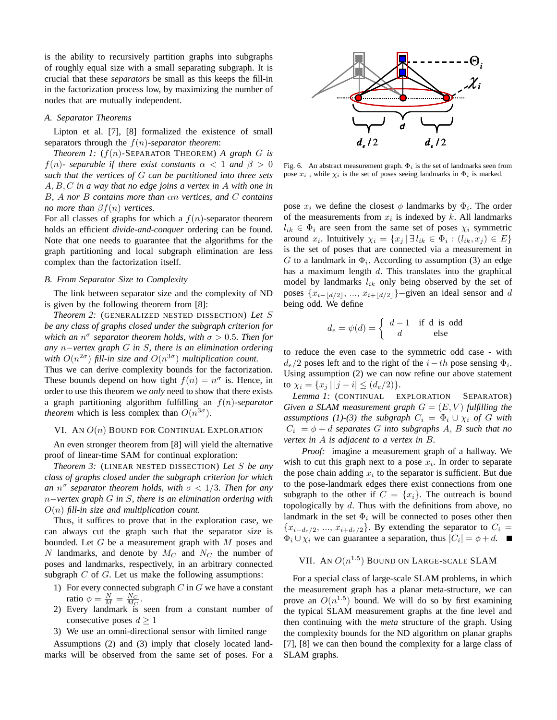is the ability to recursively partition graphs into subgraphs of roughly equal size with a small separating subgraph. It is crucial that these *separators* be small as this keeps the fill-in in the factorization process low, by maximizing the number of nodes that are mutually independent.

# *A. Separator Theorems*

Lipton et al. [7], [8] formalized the existence of small separators through the f(n)*-separator theorem*:

*Theorem 1:* (f(n)-SEPARATOR THEOREM) *A graph* G *is* f(n)- separable if there exist constants  $\alpha < 1$  and  $\beta > 0$ *such that the vertices of* G *can be partitioned into three sets* A, B, C *in a way that no edge joins a vertex in* A *with one in* B*,* A *nor* B *contains more than* αn *vertices, and* C *contains no more than* βf(n) *vertices.*

For all classes of graphs for which a  $f(n)$ -separator theorem holds an efficient *divide-and-conquer* ordering can be found. Note that one needs to guarantee that the algorithms for the graph partitioning and local subgraph elimination are less complex than the factorization itself.

## *B. From Separator Size to Complexity*

The link between separator size and the complexity of ND is given by the following theorem from [8]:

*Theorem 2:* (GENERALIZED NESTED DISSECTION) *Let* S *be any class of graphs closed under the subgraph criterion for which an*  $n^{\sigma}$  *separator theorem holds, with*  $\sigma > 0.5$ *. Then for any* n−*vertex graph* G *in* S*, there is an elimination ordering* with  $O(n^{2\sigma})$  fill-in size and  $O(n^{3\sigma})$  multiplication count.

Thus we can derive complexity bounds for the factorization. These bounds depend on how tight  $f(n) = n^{\sigma}$  is. Hence, in order to use this theorem we *only* need to show that there exists a graph partitioning algorithm fulfilling an f(n)-*separator theorem* which is less complex than  $O(n^{3\sigma})$ .

## VI. AN  $O(n)$  BOUND FOR CONTINUAL EXPLORATION

An even stronger theorem from [8] will yield the alternative proof of linear-time SAM for continual exploration:

*Theorem 3:* (LINEAR NESTED DISSECTION) *Let* S *be any class of graphs closed under the subgraph criterion for which an*  $n^{\sigma}$  separator theorem holds, with  $\sigma < 1/3$ . Then for any n−*vertex graph* G *in* S*, there is an elimination ordering with* O(n) *fill-in size and multiplication count.*

Thus, it suffices to prove that in the exploration case, we can always cut the graph such that the separator size is bounded. Let  $G$  be a measurement graph with  $M$  poses and N landmarks, and denote by  $M_C$  and  $N_C$  the number of poses and landmarks, respectively, in an arbitrary connected subgraph  $C$  of  $G$ . Let us make the following assumptions:

- 1) For every connected subgraph  $C$  in  $G$  we have a constant ratio  $\phi = \frac{N}{M} = \frac{N_C}{M_C}$ .
- 2) Every landmark is seen from a constant number of consecutive poses  $d \geq 1$
- 3) We use an omni-directional sensor with limited range

Assumptions (2) and (3) imply that closely located landmarks will be observed from the same set of poses. For a



Fig. 6. An abstract measurement graph.  $\Phi_i$  is the set of landmarks seen from pose  $x_i$ , while  $\chi_i$  is the set of poses seeing landmarks in  $\Phi_i$  is marked.

pose  $x_i$  we define the closest  $\phi$  landmarks by  $\Phi_i$ . The order of the measurements from  $x_i$  is indexed by k. All landmarks  $l_{ik} \in \Phi_i$  are seen from the same set of poses  $\chi_i$  symmetric around  $x_i$ . Intuitively  $\chi_i = \{x_j | \exists l_{ik} \in \Phi_i : (l_{ik}, x_j) \in E\}$ is the set of poses that are connected via a measurement in G to a landmark in  $\Phi_i$ . According to assumption (3) an edge has a maximum length d. This translates into the graphical model by landmarks  $l_{ik}$  only being observed by the set of poses  $\{x_{i-1d/2}, ..., x_{i+1d/2}\}$  –given an ideal sensor and d being odd. We define

$$
d_e = \psi(d) = \begin{cases} d-1 & \text{if } d \text{ is odd} \\ d & \text{else} \end{cases}
$$

to reduce the even case to the symmetric odd case - with  $d_e/2$  poses left and to the right of the  $i-th$  pose sensing  $\Phi_i$ . Using assumption (2) we can now refine our above statement to  $\chi_i = \{x_j \mid |j - i| \le (d_e/2)\}.$ 

*Lemma 1:* (CONTINUAL EXPLORATION SEPARATOR) *Given a SLAM measurement graph*  $G = (E, V)$  *fulfilling the assumptions (1)-(3) the subgraph*  $C_i = \Phi_i \cup \chi_i$  *of* G *with*  $|C_i| = \phi + d$  *separates* G *into subgraphs* A, B *such that no vertex in* A *is adjacent to a vertex in* B*.*

*Proof:* imagine a measurement graph of a hallway. We wish to cut this graph next to a pose  $x_i$ . In order to separate the pose chain adding  $x_i$  to the separator is sufficient. But due to the pose-landmark edges there exist connections from one subgraph to the other if  $C = \{x_i\}$ . The outreach is bound topologically by  $d$ . Thus with the definitions from above, no landmark in the set  $\Phi_i$  will be connected to poses other then  ${x_{i-d_e/2}, ..., x_{i+d_e/2}}$ . By extending the separator to  $C_i =$  $\Phi_i \cup \chi_i$  we can guarantee a separation, thus  $|C_i| = \phi + d$ .

# VII. AN  $O(n^{1.5})$  Bound on Large-scale SLAM

For a special class of large-scale SLAM problems, in which the measurement graph has a planar meta-structure, we can prove an  $O(n^{1.5})$  bound. We will do so by first examining the typical SLAM measurement graphs at the fine level and then continuing with the *meta* structure of the graph. Using the complexity bounds for the ND algorithm on planar graphs [7], [8] we can then bound the complexity for a large class of SLAM graphs.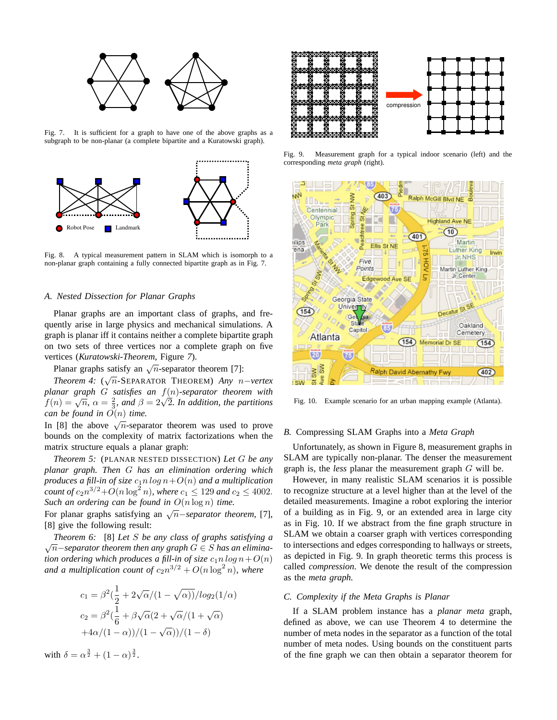

Fig. 7. It is sufficient for a graph to have one of the above graphs as a subgraph to be non-planar (a complete bipartite and a Kuratowski graph).



Fig. 8. A typical measurement pattern in SLAM which is isomorph to a non-planar graph containing a fully connected bipartite graph as in Fig. 7.

# *A. Nested Dissection for Planar Graphs*

Planar graphs are an important class of graphs, and frequently arise in large physics and mechanical simulations. A graph is planar iff it contains neither a complete bipartite graph on two sets of three vertices nor a complete graph on five vertices (*Kuratowski-Theorem*, Figure *7*).

Planar graphs satisfy an  $\sqrt{n}$ -separator theorem [7]:

*Theorem 4:* ( √ n-SEPARATOR THEOREM) *Any* n−*vertex planar graph* G *satisfies an* f(n)*-separator theorem with* planar graph G satisfies an  $f(n)$ -separator theorem with  $f(n) = \sqrt{n}$ ,  $\alpha = \frac{2}{3}$ , and  $\beta = 2\sqrt{2}$ . In addition, the partitions *can be found in*  $O(n)$  *time.* 

In [8] the above  $\sqrt{n}$ -separator theorem was used to prove bounds on the complexity of matrix factorizations when the matrix structure equals a planar graph:

*Theorem 5:* (PLANAR NESTED DISSECTION) *Let* G *be any planar graph. Then* G *has an elimination ordering which produces a fill-in of size*  $c_1 n \log n + O(n)$  *and a multiplication count of*  $c_2 n^{3/2} + O(n \log^2 n)$ *, where*  $c_1 \le 129$  *and*  $c_2 \le 4002$ *. Such an ordering can be found in* O(n log n) *time.*

For planar graphs satisfying an <sup>√</sup> n−*separator theorem,* [7], [8] give the following result:

*Theorem 6:* [8] *Let* S *be any class of graphs satisfying a* √ n−*separator theorem then any graph* G ∈ S *has an elimination ordering which produces a fill-in of size*  $c_1 n \log n + O(n)$ and a multiplication count of  $c_2n^{3/2} + O(n \log^2 n)$ , where

$$
c_1 = \beta^2 \left(\frac{1}{2} + 2\sqrt{\alpha}/(1 - \sqrt{\alpha})\right) / log_2(1/\alpha)
$$
  
\n
$$
c_2 = \beta^2 \left(\frac{1}{6} + \beta\sqrt{\alpha}(2 + \sqrt{\alpha}/(1 + \sqrt{\alpha}) + 4\alpha/(1 - \alpha)\right) / (1 - \sqrt{\alpha}))/(1 - \delta)
$$

with  $\delta = \alpha^{\frac{3}{2}} + (1 - \alpha)^{\frac{3}{2}}$ .



Fig. 9. Measurement graph for a typical indoor scenario (left) and the corresponding *meta graph* (right).



Fig. 10. Example scenario for an urban mapping example (Atlanta).

# *B.* Compressing SLAM Graphs into a *Meta Graph*

Unfortunately, as shown in Figure 8, measurement graphs in SLAM are typically non-planar. The denser the measurement graph is, the *less* planar the measurement graph G will be.

However, in many realistic SLAM scenarios it is possible to recognize structure at a level higher than at the level of the detailed measurements. Imagine a robot exploring the interior of a building as in Fig. 9, or an extended area in large city as in Fig. 10. If we abstract from the fine graph structure in SLAM we obtain a coarser graph with vertices corresponding to intersections and edges corresponding to hallways or streets, as depicted in Fig. 9. In graph theoretic terms this process is called *compression*. We denote the result of the compression as the *meta graph.*

#### *C. Complexity if the Meta Graphs is Planar*

If a SLAM problem instance has a *planar meta* graph, defined as above, we can use Theorem 4 to determine the number of meta nodes in the separator as a function of the total number of meta nodes. Using bounds on the constituent parts of the fine graph we can then obtain a separator theorem for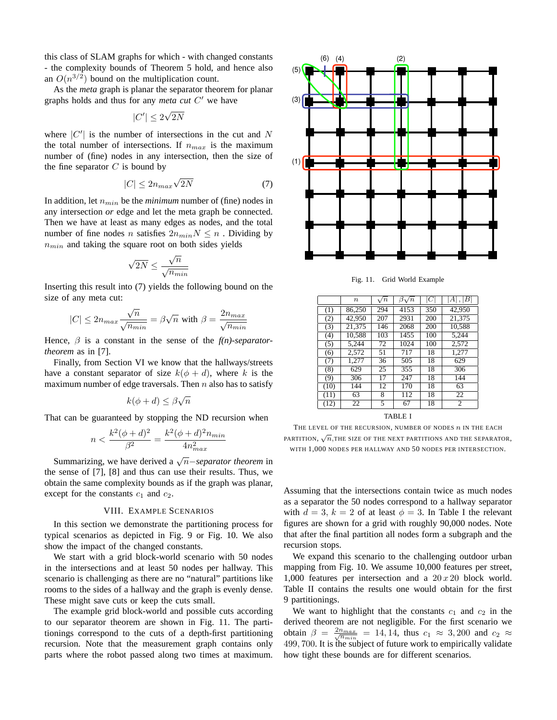this class of SLAM graphs for which - with changed constants - the complexity bounds of Theorem 5 hold, and hence also an  $O(n^{3/2})$  bound on the multiplication count.

As the *meta* graph is planar the separator theorem for planar graphs holds and thus for any *meta cut* C' we have

$$
|C'| \leq 2\sqrt{2N}
$$

where  $|C'|$  is the number of intersections in the cut and N the total number of intersections. If  $n_{max}$  is the maximum number of (fine) nodes in any intersection, then the size of the fine separator  $C$  is bound by

$$
|C| \le 2n_{max}\sqrt{2N} \tag{7}
$$

In addition, let  $n_{min}$  be the *minimum* number of (fine) nodes in any intersection *or* edge and let the meta graph be connected. Then we have at least as many edges as nodes, and the total number of fine nodes n satisfies  $2n_{min}N \leq n$ . Dividing by  $n_{min}$  and taking the square root on both sides yields

$$
\sqrt{2N} \le \frac{\sqrt{n}}{\sqrt{n_{min}}}
$$

Inserting this result into (7) yields the following bound on the size of any meta cut:

$$
|C| \le 2n_{max} \frac{\sqrt{n}}{\sqrt{n_{min}}} = \beta \sqrt{n} \text{ with } \beta = \frac{2n_{max}}{\sqrt{n_{min}}}
$$

Hence, β is a constant in the sense of the *f(n)-separatortheorem* as in [7].

Finally, from Section VI we know that the hallways/streets have a constant separator of size  $k(\phi + d)$ , where k is the maximum number of edge traversals. Then  $n$  also has to satisfy

$$
k(\phi + d) \le \beta \sqrt{n}
$$

That can be guaranteed by stopping the ND recursion when

$$
n < \frac{k^2(\phi + d)^2}{\beta^2} = \frac{k^2(\phi + d)^2 n_{min}}{4n_{max}^2}
$$

Summarizing, we have derived a <sup>√</sup> n−*separator theorem* in the sense of [7], [8] and thus can use their results. Thus, we obtain the same complexity bounds as if the graph was planar, except for the constants  $c_1$  and  $c_2$ .

# VIII. EXAMPLE SCENARIOS

In this section we demonstrate the partitioning process for typical scenarios as depicted in Fig. 9 or Fig. 10. We also show the impact of the changed constants.

We start with a grid block-world scenario with 50 nodes in the intersections and at least 50 nodes per hallway. This scenario is challenging as there are no "natural" partitions like rooms to the sides of a hallway and the graph is evenly dense. These might save cuts or keep the cuts small.

The example grid block-world and possible cuts according to our separator theorem are shown in Fig. 11. The partitionings correspond to the cuts of a depth-first partitioning recursion. Note that the measurement graph contains only parts where the robot passed along two times at maximum.



Fig. 11. Grid World Example

|         | $\boldsymbol{n}$ | $\sqrt{n}$      | $\beta\sqrt{n}$ | C   | A ,  B          |  |  |
|---------|------------------|-----------------|-----------------|-----|-----------------|--|--|
| (1)     | 86.250           | 294             | 4153            | 350 | 42,950          |  |  |
| (2)     | 42,950           | 207             | 2931            | 200 | 21.375          |  |  |
| (3)     | 21.375           | 146             | 2068            | 200 | 10.588          |  |  |
| (4)     | 10,588           | 103             | 1455            | 100 | 5,244           |  |  |
| (5)     | 5.244            | 72              | 1024            | 100 | 2,572           |  |  |
| (6)     | 2,572            | 51              | 717             | 18  | 1,277           |  |  |
| (7)     | 1,277            | 36              | 505             | 18  | 629             |  |  |
| (8)     | 629              | 25              | 355             | 18  | 306             |  |  |
| (9)     | 306              | 17              | 247             | 18  | 144             |  |  |
| (10)    | 144              | $\overline{12}$ | 170             | 18  | 63              |  |  |
| (11)    | 63               | 8               | 112             | 18  | $\overline{22}$ |  |  |
| (12)    | $\overline{22}$  | 5               | 67              | 18  | 2               |  |  |
| TABLE I |                  |                 |                 |     |                 |  |  |

THE LEVEL OF THE RECURSION, NUMBER OF NODES  $n$  IN THE EACH  $\overline{m}$  PARTITION,  $\sqrt{n}$ , THE SIZE OF THE NEXT PARTITIONS AND THE SEPARATOR, WITH 1,000 NODES PER HALLWAY AND 50 NODES PER INTERSECTION.

Assuming that the intersections contain twice as much nodes as a separator the 50 nodes correspond to a hallway separator with  $d = 3$ ,  $k = 2$  of at least  $\phi = 3$ . In Table I the relevant figures are shown for a grid with roughly 90,000 nodes. Note that after the final partition all nodes form a subgraph and the recursion stops.

We expand this scenario to the challenging outdoor urban mapping from Fig. 10. We assume 10,000 features per street, 1,000 features per intersection and a  $20x20$  block world. Table II contains the results one would obtain for the first 9 partitionings.

We want to highlight that the constants  $c_1$  and  $c_2$  in the derived theorem are not negligible. For the first scenario we obtain  $\beta = \frac{2n_{max}}{\sqrt{n_{min}}}$  = 14, 14, thus  $c_1 \approx 3,200$  and  $c_2 \approx$ 499, 700. It is the subject of future work to empirically validate how tight these bounds are for different scenarios.